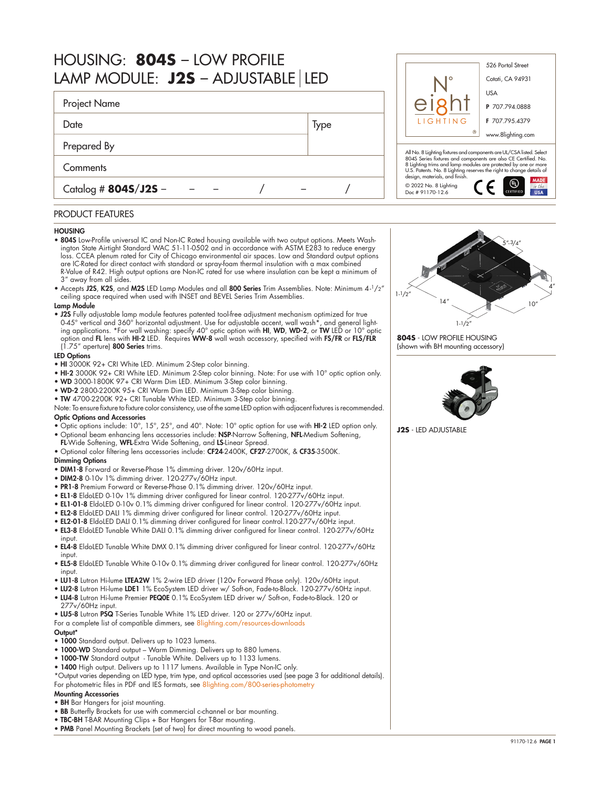| HOUSING: 8045 - LOW PROFILE<br>LAMP MODULE: J2S - ADJUSTABLE LED |      | 526 Portal Street<br>Cotati, CA 94931                                                                                                                                                                                                      |                                          |
|------------------------------------------------------------------|------|--------------------------------------------------------------------------------------------------------------------------------------------------------------------------------------------------------------------------------------------|------------------------------------------|
| Project Name                                                     |      |                                                                                                                                                                                                                                            | <b>USA</b><br>P 707.794.0888             |
| Date                                                             | Type | LIGHTING                                                                                                                                                                                                                                   | F 707.795.4379<br>www.8lighting.com      |
| Prepared By                                                      |      | All No. 8 Lighting fixtures and components are UL/CSA listed. Select                                                                                                                                                                       |                                          |
| Comments                                                         |      | 804S Series fixtures and components are also CE Certified. No.<br>8 Lighting trims and lamp modules are protected by one or more<br>U.S. Patents. No. 8 Lighting reserves the right to change details of<br>design, materials, and finish. |                                          |
| Catalog # $8045/J25 -$                                           |      | © 2022 No. 8 Lighting<br>Doc # 91170-12.6                                                                                                                                                                                                  | <b>MADE</b><br>⊛<br>in the<br><b>USA</b> |

# PRODUCT FEATURES

### **HOUSING**

- 804S Low-Profile universal IC and Non-IC Rated housing available with two output options. Meets Washington State Airtight Standard WAC 51-11-0502 and in accordance with ASTM E283 to reduce energy loss. CCEA plenum rated for City of Chicago environmental air spaces. Low and Standard output options are IC-Rated for direct contact with standard or spray-foam thermal insulation with a max combined R-Value of R42. High output options are Non-IC rated for use where insulation can be kept a minimum of 3" away from all sides.
- Accepts J2S, K2S, and M2S LED Lamp Modules and all 800 Series Trim Assemblies. Note: Minimum 4-1/2" ceiling space required when used with INSET and BEVEL Series Trim Assemblies.

## Lamp Module

• J2S Fully adjustable lamp module features patented tool-free adjustment mechanism optimized for true 0-45° vertical and 360° horizontal adjustment. Use for adjustable accent, wall wash\*, and general light-<br>ing applications. \*For wall washing: specify 40° optic option with **HI, WD, WD-2,** or **TW** LED or 10° optic option and **FL** lens with **HI-2** LED. Requires **WW-8** wall wash accessory, specified with **FS/FR** or **FLS/FLR** (1.75" aperture) 800 Series trims.

# LED Options

- HI 3000K 92+ CRI White LED. Minimum 2-Step color binning.
- HI-2 3000K 92+ CRI White LED. Minimum 2-Step color binning. Note: For use with 10° optic option only.
- WD 3000-1800K 97+ CRI Warm Dim LED. Minimum 3-Step color binning.
- WD-2 2800-2200K 95+ CRI Warm Dim LED. Minimum 3-Step color binning.
- TW 4700-2200K 92+ CRI Tunable White LED. Minimum 3-Step color binning.
- Note: To ensure fixture to fixture color consistency, use of the same LED option with adjacent fixtures is recommended. Optic Options and Accessories

- Optic options include: 10°, 15°, 25°, and 40°. Note: 10° optic option for use with HI-2 LED option only. • Optional beam enhancing lens accessories include: NSP-Narrow Softening, NFL-Medium Softening,
- FL-Wide Softening, WFL-Extra Wide Softening, and LS-Linear Spread.
- Optional color filtering lens accessories include: CF24-2400K, CF27-2700K, & CF35-3500K.

### Dimming Options

- DIM1-8 Forward or Reverse-Phase 1% dimming driver. 120v/60Hz input.
- DIM2-8 0-10v 1% dimming driver. 120-277v/60Hz input.
- PR1-8 Premium Forward or Reverse-Phase 0.1% dimming driver. 120v/60Hz input.
- EL1-8 EldoLED 0-10v 1% dimming driver configured for linear control. 120-277v/60Hz input.
- EL1-01-8 EldoLED 0-10v 0.1% dimming driver configured for linear control. 120-277v/60Hz input.
- EL2-8 EldoLED DALI 1% dimming driver configured for linear control. 120-277v/60Hz input.
- EL2-01-8 EldoLED DALI 0.1% dimming driver configured for linear control.120-277v/60Hz input.
- EL3-8 EldoLED Tunable White DALI 0.1% dimming driver configured for linear control. 120-277v/60Hz input.
- EL4-8 EldoLED Tunable White DMX 0.1% dimming driver configured for linear control. 120-277v/60Hz input.
- EL5-8 EldoLED Tunable White 0-10v 0.1% dimming driver configured for linear control. 120-277v/60Hz input.
- LU1-8 Lutron Hi-lume LTEA2W 1% 2-wire LED driver (120v Forward Phase only). 120v/60Hz input.
- LU2-8 Lutron Hi-lume LDE1 1% EcoSystem LED driver w/ Soft-on, Fade-to-Black. 120-277v/60Hz input. • LU4-8 Lutron Hi-lume Premier PEQ0E 0.1% EcoSystem LED driver w/ Soft-on, Fade-to-Black. 120 or 277v/60Hz input.
- LU5-8 Lutron PSQ T-Series Tunable White 1% LED driver. 120 or 277v/60Hz input.
- For a complete list of compatible dimmers, see 8lighting.com/resources-download

#### Output\*

- 1000 Standard output. Delivers up to 1023 lumens.
- 1000-WD Standard output Warm Dimming. Delivers up to 880 lumens.
- 1000-TW Standard output Tunable White. Delivers up to 1133 lumens.
- 1400 High output. Delivers up to 1117 lumens. Available in Type Non-IC only.
- \*Output varies depending on LED type, trim type, and optical accessories used (see page 3 for additional details). For photometric files in PDF and IES formats, see [8lighting.com/800-series-photometry](https://8lighting.com/800-series-photometry/)

#### Mounting Accessories

- BH Bar Hangers for joist mounting.
- BB Butterfly Brackets for use with commercial c-channel or bar mounting.
- TBC-BH T-BAR Mounting Clips + Bar Hangers for T-Bar mounting.
- PMB Panel Mounting Brackets (set of two) for direct mounting to wood panels.



**804S** - LOW PROFILE HOUSING (shown with BH mounting accessory)



**J2S** - LED ADJUSTABLE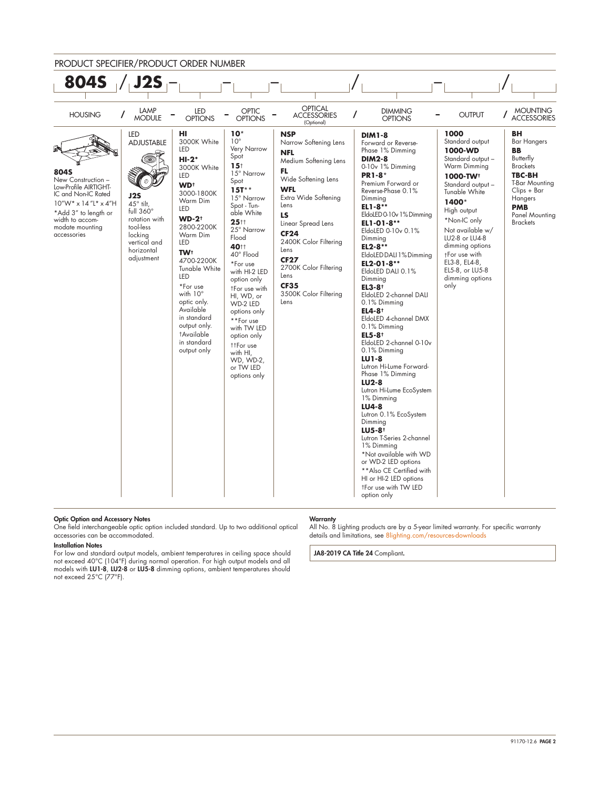



#### Optic Option and Accessory Notes

One field interchangeable optic option included standard. Up to two additional optical accessories can be accommodated.

#### Installation Notes

For low and standard output models, ambient temperatures in ceiling space should not exceed 40°C (104°F) during normal operation. For high output models and all<br>models with **LU1-8, LU2-8** or **LU5-8** dimming options, ambient temperatures should not exceed 25°C (77°F).

#### **Warranty**

All No. 8 Lighting products are by a 5-year limited warranty. For specific warranty details and limitations, see [8lighting.com/resources-downloads](https://8lighting.com/resources-downloads/)

JA8-2019 CA Title 24 Compliant.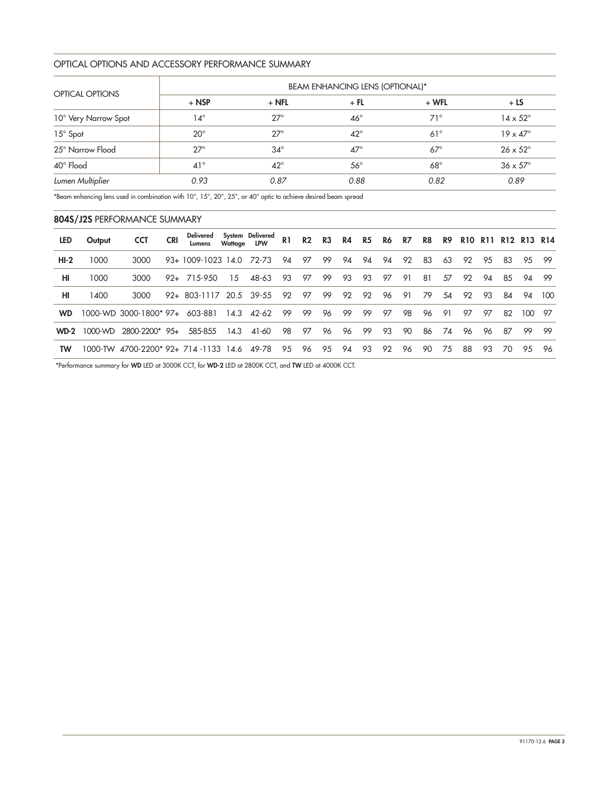# OPTICAL OPTIONS AND ACCESSORY PERFORMANCE SUMMARY

|                        | <b>BEAM ENHANCING LENS (OPTIONAL)*</b> |              |              |            |                        |  |  |  |  |
|------------------------|----------------------------------------|--------------|--------------|------------|------------------------|--|--|--|--|
| <b>OPTICAL OPTIONS</b> | $+$ NSP                                | $+$ NFL      | $+$ FL       | $+ WFL$    | $+LS$                  |  |  |  |  |
| 10° Very Narrow Spot   | $14^{\circ}$                           | $27^\circ$   | $46^{\circ}$ | $71^\circ$ | $14 \times 52^{\circ}$ |  |  |  |  |
| 15° Spot               | $20^{\circ}$                           | $27^\circ$   | $42^{\circ}$ | $61^\circ$ | $19 \times 47^\circ$   |  |  |  |  |
| 25° Narrow Flood       | $27^\circ$                             | $34^\circ$   | $47^\circ$   | $67^\circ$ | $26 \times 52^{\circ}$ |  |  |  |  |
| 40° Flood              | $41^{\circ}$                           | $42^{\circ}$ | $56^{\circ}$ | $68^\circ$ | $36 \times 57^\circ$   |  |  |  |  |
| Lumen Multiplier       | 0.93                                   | 0.87         | 0.88         | 0.82       | 0.89                   |  |  |  |  |

\*Beam enhancing lens used in combination with 10°, 15°, 20°, 25°, or 40° optic to achieve desired beam spread

# 804S/J2S PERFORMANCE SUMMARY

| <b>LED</b> | Output  | <b>CCT</b>                       | Delivered               | Wattage LPW | System Delivered | R1 | R2 | R3 |    |    | R4 R5 R6 R7 |    | R8 |    | <b>R9 R10 R11</b> |    |    | R12 R13 R14 |        |
|------------|---------|----------------------------------|-------------------------|-------------|------------------|----|----|----|----|----|-------------|----|----|----|-------------------|----|----|-------------|--------|
| $HI-2$     | 1000    | 3000                             | 93+ 1009-1023 14.0      |             | 72-73            | 94 | 97 | 99 | 94 | 94 | 94          | 92 | 83 | 63 | 92                | 95 | 83 | 9.5         | - 99   |
| HI         | 1000    | 3000                             | $92 + 715 - 950$        | 15          | 48-63            | 93 | 97 | 99 | 93 | 93 | 97          | 91 | 81 | 57 | 92                | 94 | 85 |             | 94 99  |
| HI         | 1400    | 3000                             | 92+ 803-1117 20.5 39-55 |             |                  | 92 | 97 | 99 | 92 | 92 | 96          | 91 | 79 | 54 | 92                | 93 | 84 |             | 94 100 |
| <b>WD</b>  |         | 1000-WD 3000-1800* 97+           | 603-881                 |             | 14.3 42-62       | 99 | 99 | 96 | 99 | 99 | 97          | 98 | 96 | 91 | 97                | 97 | 82 | 100         | - 97   |
| $WD-2$     | 1000-WD | 2800-2200* 95+                   | 585-855                 | 14.3        | 41-60            | 98 | 97 | 96 | 96 | 99 | 93          | 90 | 86 | 74 | 96                | 96 | 87 | 99          | - 99   |
| <b>TW</b>  |         | 1000-TW 4700-2200* 92+ 714 -1133 |                         | 14.6        | 49-78            | 95 | 96 | 95 | 94 | 93 | 92          | 96 | 90 | 75 | 88                | 93 | 70 | 9.5         | - 96   |

\*Performance summary for WD LED at 3000K CCT, for WD-2 LED at 2800K CCT, and TW LED at 4000K CCT.